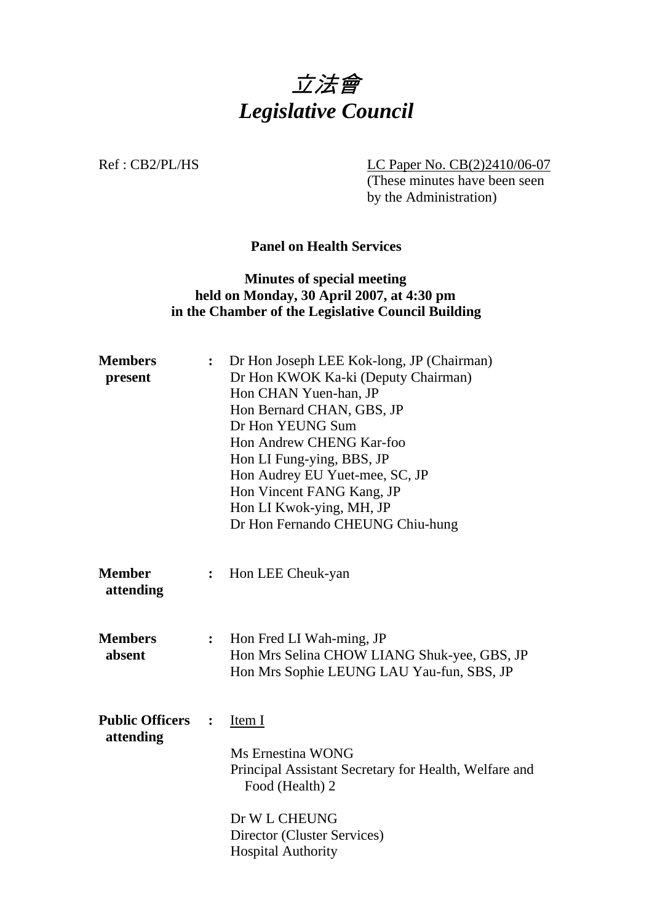

Ref : CB2/PL/HS LC Paper No. CB(2)2410/06-07

 (These minutes have been seen by the Administration)

**Panel on Health Services** 

### **Minutes of special meeting held on Monday, 30 April 2007, at 4:30 pm in the Chamber of the Legislative Council Building**

| <b>Members</b><br>present           | $\ddot{\cdot}$ | Dr Hon Joseph LEE Kok-long, JP (Chairman)<br>Dr Hon KWOK Ka-ki (Deputy Chairman)<br>Hon CHAN Yuen-han, JP<br>Hon Bernard CHAN, GBS, JP<br>Dr Hon YEUNG Sum<br>Hon Andrew CHENG Kar-foo<br>Hon LI Fung-ying, BBS, JP<br>Hon Audrey EU Yuet-mee, SC, JP<br>Hon Vincent FANG Kang, JP<br>Hon LI Kwok-ying, MH, JP<br>Dr Hon Fernando CHEUNG Chiu-hung |
|-------------------------------------|----------------|----------------------------------------------------------------------------------------------------------------------------------------------------------------------------------------------------------------------------------------------------------------------------------------------------------------------------------------------------|
| <b>Member</b><br>attending          | :              | Hon LEE Cheuk-yan                                                                                                                                                                                                                                                                                                                                  |
| <b>Members</b><br>absent            | $\ddot{\cdot}$ | Hon Fred LI Wah-ming, JP<br>Hon Mrs Selina CHOW LIANG Shuk-yee, GBS, JP<br>Hon Mrs Sophie LEUNG LAU Yau-fun, SBS, JP                                                                                                                                                                                                                               |
| <b>Public Officers</b><br>attending | $\ddot{\cdot}$ | Item I<br>Ms Ernestina WONG<br>Principal Assistant Secretary for Health, Welfare and<br>Food (Health) 2<br>Dr W L CHEUNG<br>Director (Cluster Services)<br><b>Hospital Authority</b>                                                                                                                                                               |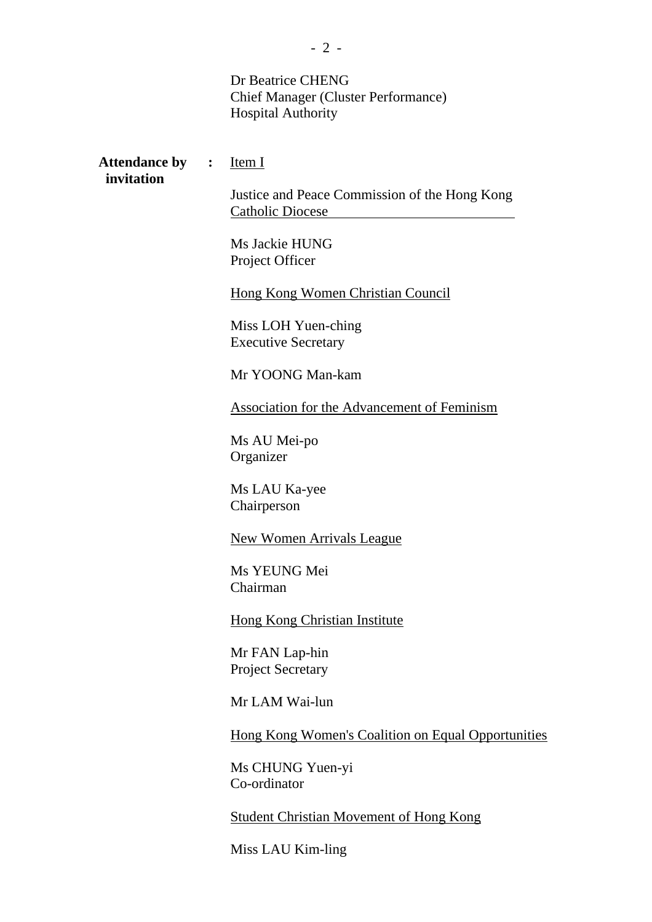|                                      | Dr Beatrice CHENG<br><b>Chief Manager (Cluster Performance)</b><br><b>Hospital Authority</b> |
|--------------------------------------|----------------------------------------------------------------------------------------------|
| <b>Attendance by :</b><br>invitation | Item I<br>Justice and Peace Commission of the Hong Kong                                      |
|                                      | Catholic Diocese                                                                             |
|                                      | Ms Jackie HUNG<br>Project Officer                                                            |
|                                      | Hong Kong Women Christian Council                                                            |
|                                      | Miss LOH Yuen-ching<br><b>Executive Secretary</b>                                            |
|                                      | Mr YOONG Man-kam                                                                             |
|                                      | Association for the Advancement of Feminism                                                  |
|                                      | Ms AU Mei-po<br>Organizer                                                                    |
|                                      | Ms LAU Ka-yee<br>Chairperson                                                                 |
|                                      | <b>New Women Arrivals League</b>                                                             |
|                                      | Ms YEUNG Mei<br>Chairman                                                                     |
|                                      | <b>Hong Kong Christian Institute</b>                                                         |
|                                      | Mr FAN Lap-hin<br><b>Project Secretary</b>                                                   |
|                                      | Mr LAM Wai-lun                                                                               |
|                                      | <b>Hong Kong Women's Coalition on Equal Opportunities</b>                                    |
|                                      | Ms CHUNG Yuen-yi<br>Co-ordinator                                                             |
|                                      | <b>Student Christian Movement of Hong Kong</b>                                               |

Miss LAU Kim-ling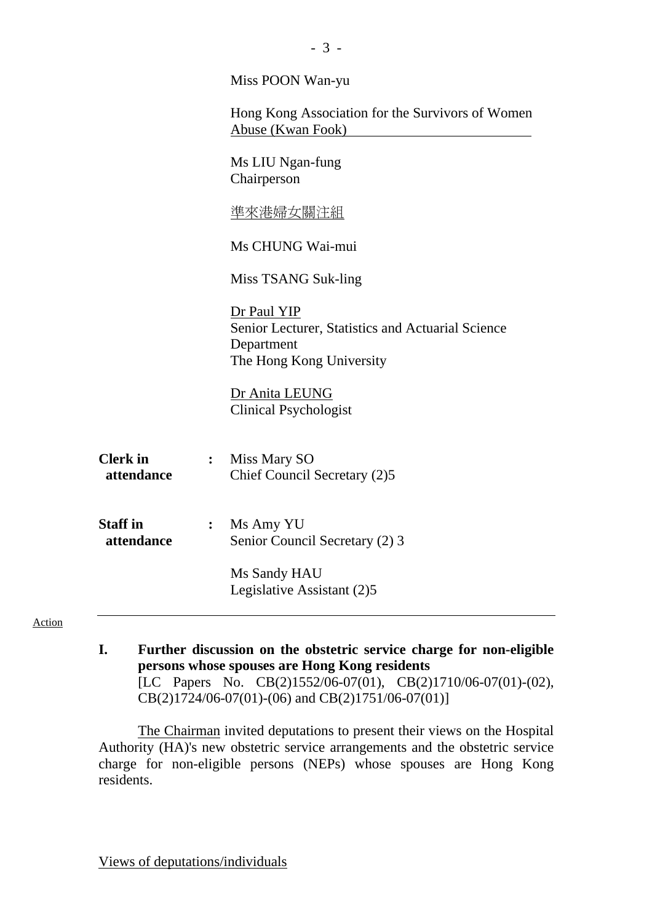|                               | Miss POON Wan-yu                                                                                           |
|-------------------------------|------------------------------------------------------------------------------------------------------------|
|                               | Hong Kong Association for the Survivors of Women<br>Abuse (Kwan Fook)                                      |
|                               | Ms LIU Ngan-fung<br>Chairperson                                                                            |
|                               | <u>準來港婦女關注組</u>                                                                                            |
|                               | Ms CHUNG Wai-mui                                                                                           |
|                               | Miss TSANG Suk-ling                                                                                        |
|                               | Dr Paul YIP<br>Senior Lecturer, Statistics and Actuarial Science<br>Department<br>The Hong Kong University |
|                               | Dr Anita LEUNG<br><b>Clinical Psychologist</b>                                                             |
| <b>Clerk</b> in<br>attendance | Miss Mary SO<br>$\ddot{\bullet}$<br>Chief Council Secretary (2)5                                           |
| <b>Staff</b> in<br>attendance | Ms Amy YU<br>Senior Council Secretary (2) 3                                                                |
|                               | Ms Sandy HAU<br>Legislative Assistant (2)5                                                                 |
| Action                        |                                                                                                            |

- 3 -

**I. Further discussion on the obstetric service charge for non-eligible persons whose spouses are Hong Kong residents**  [LC Papers No. CB(2)1552/06-07(01), CB(2)1710/06-07(01)-(02), CB(2)1724/06-07(01)-(06) and CB(2)1751/06-07(01)]

 The Chairman invited deputations to present their views on the Hospital Authority (HA)'s new obstetric service arrangements and the obstetric service charge for non-eligible persons (NEPs) whose spouses are Hong Kong residents.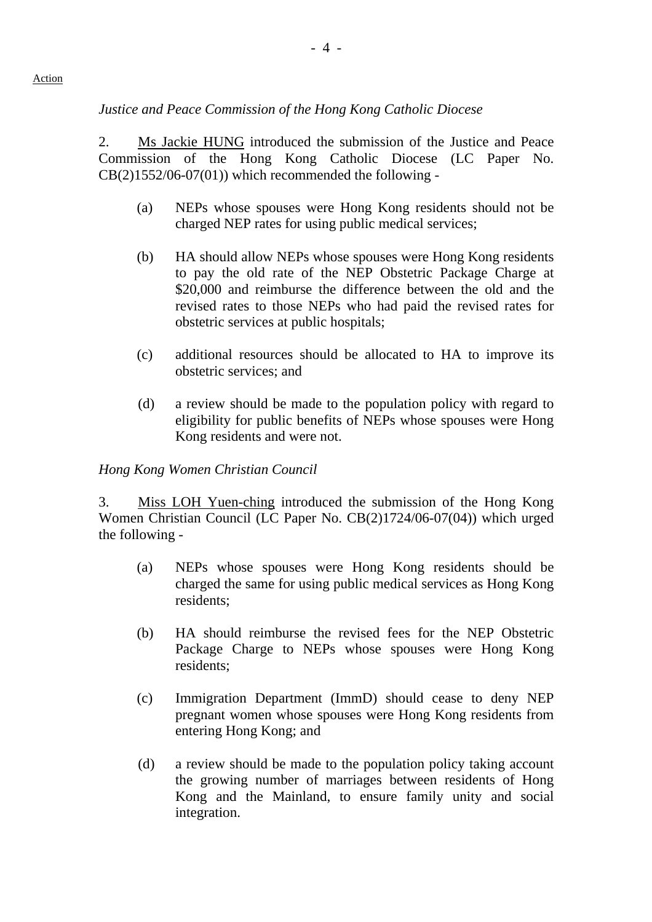# *Justice and Peace Commission of the Hong Kong Catholic Diocese*

2. Ms Jackie HUNG introduced the submission of the Justice and Peace Commission of the Hong Kong Catholic Diocese (LC Paper No.  $CB(2)1552/06-07(01))$  which recommended the following -

- (a) NEPs whose spouses were Hong Kong residents should not be charged NEP rates for using public medical services;
- (b) HA should allow NEPs whose spouses were Hong Kong residents to pay the old rate of the NEP Obstetric Package Charge at \$20,000 and reimburse the difference between the old and the revised rates to those NEPs who had paid the revised rates for obstetric services at public hospitals;
- (c) additional resources should be allocated to HA to improve its obstetric services; and
- (d) a review should be made to the population policy with regard to eligibility for public benefits of NEPs whose spouses were Hong Kong residents and were not.

# *Hong Kong Women Christian Council*

3. Miss LOH Yuen-ching introduced the submission of the Hong Kong Women Christian Council (LC Paper No. CB(2)1724/06-07(04)) which urged the following -

- (a) NEPs whose spouses were Hong Kong residents should be charged the same for using public medical services as Hong Kong residents;
- (b) HA should reimburse the revised fees for the NEP Obstetric Package Charge to NEPs whose spouses were Hong Kong residents;
- (c) Immigration Department (ImmD) should cease to deny NEP pregnant women whose spouses were Hong Kong residents from entering Hong Kong; and
- (d) a review should be made to the population policy taking account the growing number of marriages between residents of Hong Kong and the Mainland, to ensure family unity and social integration.

#### Action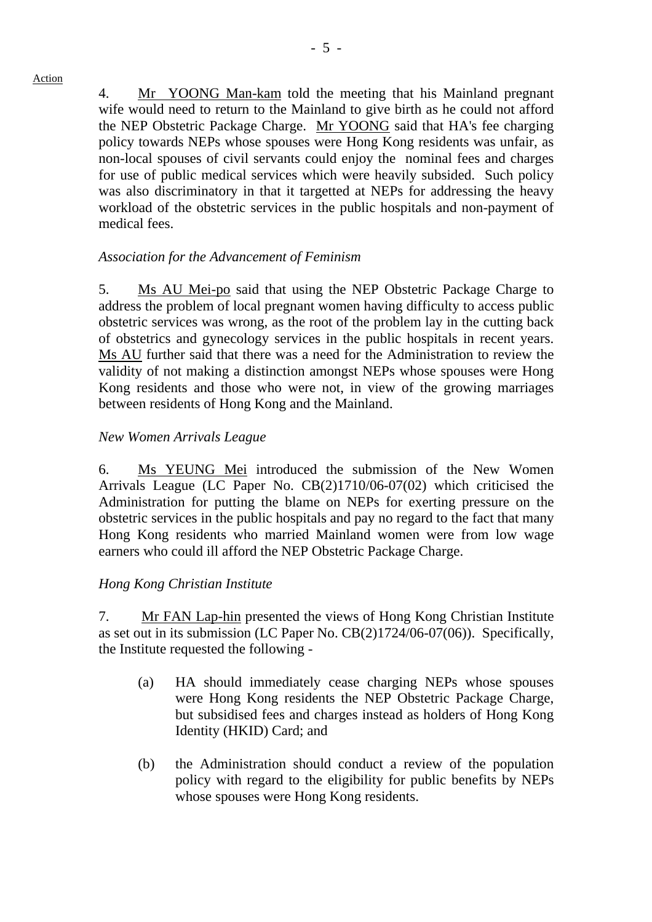Action

4. Mr YOONG Man-kam told the meeting that his Mainland pregnant wife would need to return to the Mainland to give birth as he could not afford the NEP Obstetric Package Charge. Mr YOONG said that HA's fee charging policy towards NEPs whose spouses were Hong Kong residents was unfair, as non-local spouses of civil servants could enjoy the nominal fees and charges for use of public medical services which were heavily subsided. Such policy was also discriminatory in that it targetted at NEPs for addressing the heavy workload of the obstetric services in the public hospitals and non-payment of medical fees.

### *Association for the Advancement of Feminism*

5. Ms AU Mei-po said that using the NEP Obstetric Package Charge to address the problem of local pregnant women having difficulty to access public obstetric services was wrong, as the root of the problem lay in the cutting back of obstetrics and gynecology services in the public hospitals in recent years. Ms AU further said that there was a need for the Administration to review the validity of not making a distinction amongst NEPs whose spouses were Hong Kong residents and those who were not, in view of the growing marriages between residents of Hong Kong and the Mainland.

#### *New Women Arrivals League*

 6. Ms YEUNG Mei introduced the submission of the New Women Arrivals League (LC Paper No. CB(2)1710/06-07(02) which criticised the Administration for putting the blame on NEPs for exerting pressure on the obstetric services in the public hospitals and pay no regard to the fact that many Hong Kong residents who married Mainland women were from low wage earners who could ill afford the NEP Obstetric Package Charge.

#### *Hong Kong Christian Institute*

7. Mr FAN Lap-hin presented the views of Hong Kong Christian Institute as set out in its submission (LC Paper No. CB(2)1724/06-07(06)). Specifically, the Institute requested the following -

- (a) HA should immediately cease charging NEPs whose spouses were Hong Kong residents the NEP Obstetric Package Charge, but subsidised fees and charges instead as holders of Hong Kong Identity (HKID) Card; and
- (b) the Administration should conduct a review of the population policy with regard to the eligibility for public benefits by NEPs whose spouses were Hong Kong residents.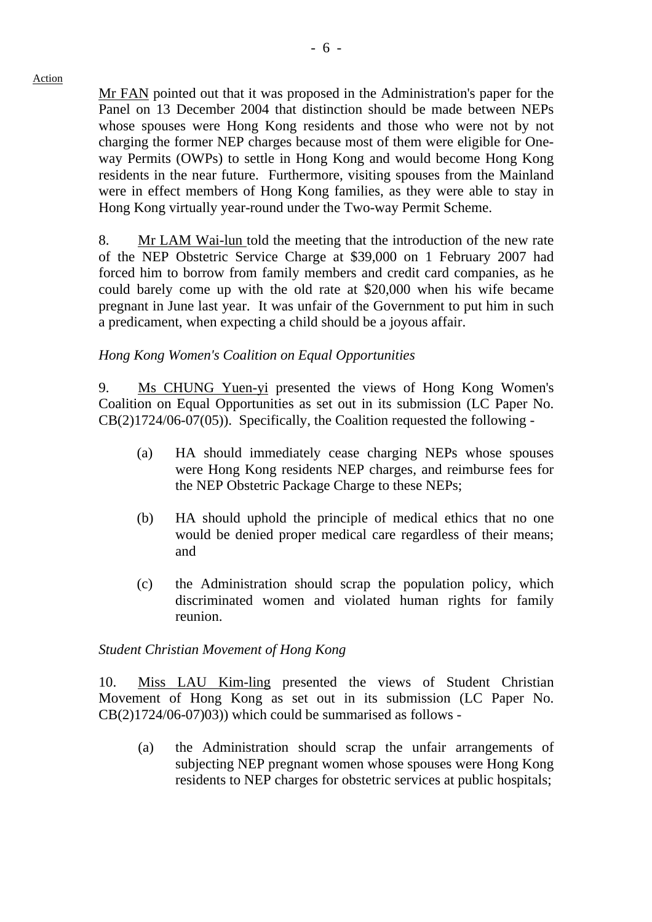Mr FAN pointed out that it was proposed in the Administration's paper for the Panel on 13 December 2004 that distinction should be made between NEPs whose spouses were Hong Kong residents and those who were not by not charging the former NEP charges because most of them were eligible for Oneway Permits (OWPs) to settle in Hong Kong and would become Hong Kong residents in the near future. Furthermore, visiting spouses from the Mainland were in effect members of Hong Kong families, as they were able to stay in Hong Kong virtually year-round under the Two-way Permit Scheme.

8. Mr LAM Wai-lun told the meeting that the introduction of the new rate of the NEP Obstetric Service Charge at \$39,000 on 1 February 2007 had forced him to borrow from family members and credit card companies, as he could barely come up with the old rate at \$20,000 when his wife became pregnant in June last year. It was unfair of the Government to put him in such a predicament, when expecting a child should be a joyous affair.

#### *Hong Kong Women's Coalition on Equal Opportunities*

9. Ms CHUNG Yuen-yi presented the views of Hong Kong Women's Coalition on Equal Opportunities as set out in its submission (LC Paper No. CB(2)1724/06-07(05)). Specifically, the Coalition requested the following -

- (a) HA should immediately cease charging NEPs whose spouses were Hong Kong residents NEP charges, and reimburse fees for the NEP Obstetric Package Charge to these NEPs;
- (b) HA should uphold the principle of medical ethics that no one would be denied proper medical care regardless of their means; and
- (c) the Administration should scrap the population policy, which discriminated women and violated human rights for family reunion.

#### *Student Christian Movement of Hong Kong*

10. Miss LAU Kim-ling presented the views of Student Christian Movement of Hong Kong as set out in its submission (LC Paper No.  $CB(2)1724/06-07)03$ ) which could be summarised as follows -

(a) the Administration should scrap the unfair arrangements of subjecting NEP pregnant women whose spouses were Hong Kong residents to NEP charges for obstetric services at public hospitals;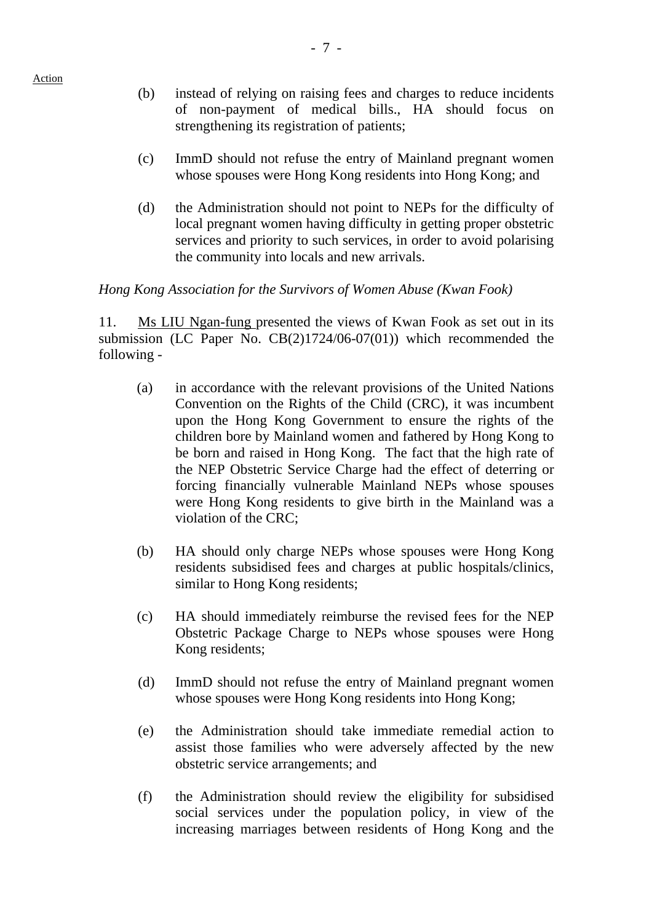- (b) instead of relying on raising fees and charges to reduce incidents of non-payment of medical bills., HA should focus on strengthening its registration of patients;
- (c) ImmD should not refuse the entry of Mainland pregnant women whose spouses were Hong Kong residents into Hong Kong; and
- (d) the Administration should not point to NEPs for the difficulty of local pregnant women having difficulty in getting proper obstetric services and priority to such services, in order to avoid polarising the community into locals and new arrivals.

#### *Hong Kong Association for the Survivors of Women Abuse (Kwan Fook)*

11. Ms LIU Ngan-fung presented the views of Kwan Fook as set out in its submission (LC Paper No. CB(2)1724/06-07(01)) which recommended the following -

- (a) in accordance with the relevant provisions of the United Nations Convention on the Rights of the Child (CRC), it was incumbent upon the Hong Kong Government to ensure the rights of the children bore by Mainland women and fathered by Hong Kong to be born and raised in Hong Kong. The fact that the high rate of the NEP Obstetric Service Charge had the effect of deterring or forcing financially vulnerable Mainland NEPs whose spouses were Hong Kong residents to give birth in the Mainland was a violation of the CRC;
- (b) HA should only charge NEPs whose spouses were Hong Kong residents subsidised fees and charges at public hospitals/clinics, similar to Hong Kong residents;
- (c) HA should immediately reimburse the revised fees for the NEP Obstetric Package Charge to NEPs whose spouses were Hong Kong residents;
- (d) ImmD should not refuse the entry of Mainland pregnant women whose spouses were Hong Kong residents into Hong Kong;
- (e) the Administration should take immediate remedial action to assist those families who were adversely affected by the new obstetric service arrangements; and
- (f) the Administration should review the eligibility for subsidised social services under the population policy, in view of the increasing marriages between residents of Hong Kong and the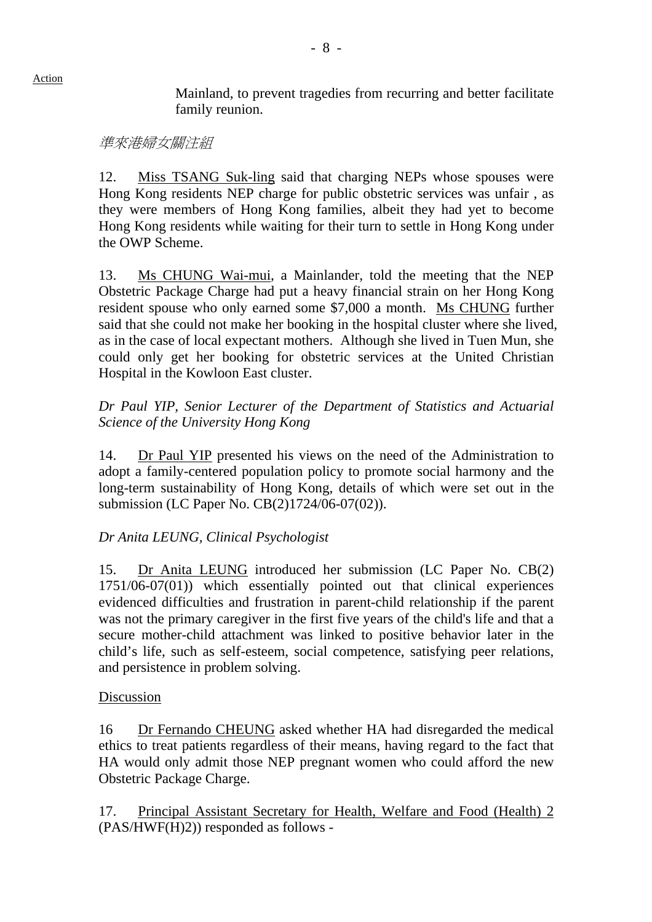Mainland, to prevent tragedies from recurring and better facilitate family reunion.

### 準來港婦女關注組

12. Miss TSANG Suk-ling said that charging NEPs whose spouses were Hong Kong residents NEP charge for public obstetric services was unfair , as they were members of Hong Kong families, albeit they had yet to become Hong Kong residents while waiting for their turn to settle in Hong Kong under the OWP Scheme.

13. Ms CHUNG Wai-mui, a Mainlander, told the meeting that the NEP Obstetric Package Charge had put a heavy financial strain on her Hong Kong resident spouse who only earned some \$7,000 a month. Ms CHUNG further said that she could not make her booking in the hospital cluster where she lived, as in the case of local expectant mothers. Although she lived in Tuen Mun, she could only get her booking for obstetric services at the United Christian Hospital in the Kowloon East cluster.

## *Dr Paul YIP, Senior Lecturer of the Department of Statistics and Actuarial Science of the University Hong Kong*

14. Dr Paul YIP presented his views on the need of the Administration to adopt a family-centered population policy to promote social harmony and the long-term sustainability of Hong Kong, details of which were set out in the submission (LC Paper No. CB(2)1724/06-07(02)).

# *Dr Anita LEUNG, Clinical Psychologist*

15. Dr Anita LEUNG introduced her submission (LC Paper No. CB(2) 1751/06-07(01)) which essentially pointed out that clinical experiences evidenced difficulties and frustration in parent-child relationship if the parent was not the primary caregiver in the first five years of the child's life and that a secure mother-child attachment was linked to positive behavior later in the child's life, such as self-esteem, social competence, satisfying peer relations, and persistence in problem solving.

#### Discussion

16 Dr Fernando CHEUNG asked whether HA had disregarded the medical ethics to treat patients regardless of their means, having regard to the fact that HA would only admit those NEP pregnant women who could afford the new Obstetric Package Charge.

17. Principal Assistant Secretary for Health, Welfare and Food (Health) 2 (PAS/HWF(H)2)) responded as follows -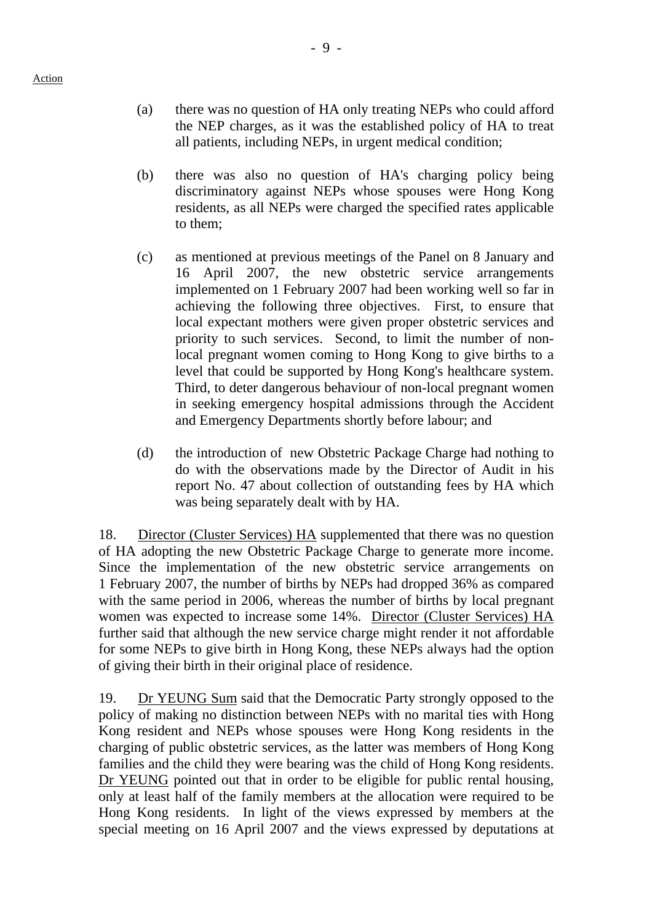- (a) there was no question of HA only treating NEPs who could afford the NEP charges, as it was the established policy of HA to treat all patients, including NEPs, in urgent medical condition;
- (b) there was also no question of HA's charging policy being discriminatory against NEPs whose spouses were Hong Kong residents, as all NEPs were charged the specified rates applicable to them;
- (c) as mentioned at previous meetings of the Panel on 8 January and 16 April 2007, the new obstetric service arrangements implemented on 1 February 2007 had been working well so far in achieving the following three objectives. First, to ensure that local expectant mothers were given proper obstetric services and priority to such services. Second, to limit the number of nonlocal pregnant women coming to Hong Kong to give births to a level that could be supported by Hong Kong's healthcare system. Third, to deter dangerous behaviour of non-local pregnant women in seeking emergency hospital admissions through the Accident and Emergency Departments shortly before labour; and
- (d) the introduction of new Obstetric Package Charge had nothing to do with the observations made by the Director of Audit in his report No. 47 about collection of outstanding fees by HA which was being separately dealt with by HA.

18. Director (Cluster Services) HA supplemented that there was no question of HA adopting the new Obstetric Package Charge to generate more income. Since the implementation of the new obstetric service arrangements on 1 February 2007, the number of births by NEPs had dropped 36% as compared with the same period in 2006, whereas the number of births by local pregnant women was expected to increase some 14%. Director (Cluster Services) HA further said that although the new service charge might render it not affordable for some NEPs to give birth in Hong Kong, these NEPs always had the option of giving their birth in their original place of residence.

19. Dr YEUNG Sum said that the Democratic Party strongly opposed to the policy of making no distinction between NEPs with no marital ties with Hong Kong resident and NEPs whose spouses were Hong Kong residents in the charging of public obstetric services, as the latter was members of Hong Kong families and the child they were bearing was the child of Hong Kong residents. Dr YEUNG pointed out that in order to be eligible for public rental housing, only at least half of the family members at the allocation were required to be Hong Kong residents. In light of the views expressed by members at the special meeting on 16 April 2007 and the views expressed by deputations at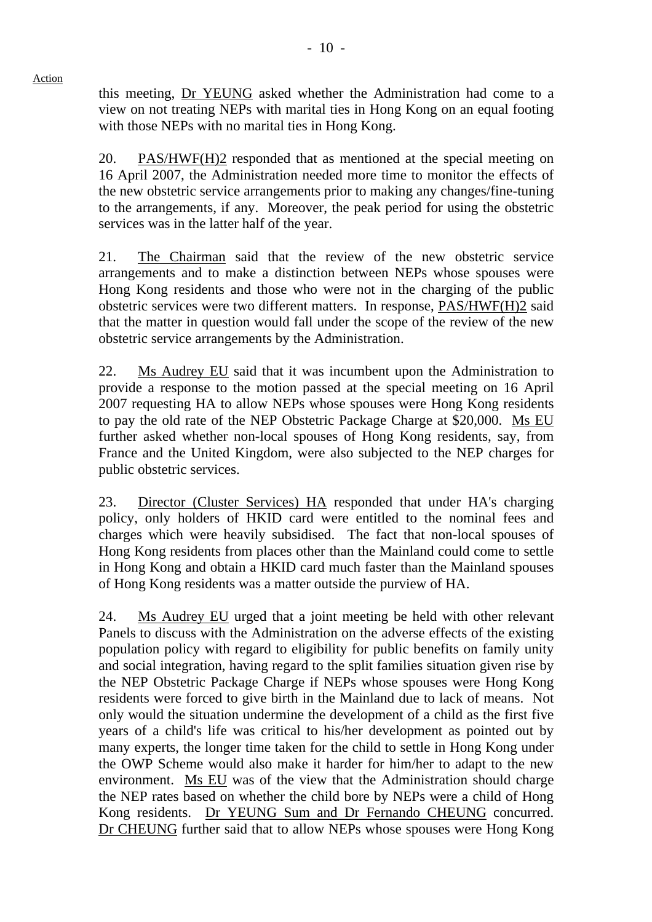this meeting, Dr YEUNG asked whether the Administration had come to a view on not treating NEPs with marital ties in Hong Kong on an equal footing with those NEPs with no marital ties in Hong Kong.

20. PAS/HWF(H)2 responded that as mentioned at the special meeting on 16 April 2007, the Administration needed more time to monitor the effects of the new obstetric service arrangements prior to making any changes/fine-tuning to the arrangements, if any. Moreover, the peak period for using the obstetric services was in the latter half of the year.

21. The Chairman said that the review of the new obstetric service arrangements and to make a distinction between NEPs whose spouses were Hong Kong residents and those who were not in the charging of the public obstetric services were two different matters. In response, PAS/HWF(H)2 said that the matter in question would fall under the scope of the review of the new obstetric service arrangements by the Administration.

22. Ms Audrey EU said that it was incumbent upon the Administration to provide a response to the motion passed at the special meeting on 16 April 2007 requesting HA to allow NEPs whose spouses were Hong Kong residents to pay the old rate of the NEP Obstetric Package Charge at \$20,000. Ms EU further asked whether non-local spouses of Hong Kong residents, say, from France and the United Kingdom, were also subjected to the NEP charges for public obstetric services.

23. Director (Cluster Services) HA responded that under HA's charging policy, only holders of HKID card were entitled to the nominal fees and charges which were heavily subsidised. The fact that non-local spouses of Hong Kong residents from places other than the Mainland could come to settle in Hong Kong and obtain a HKID card much faster than the Mainland spouses of Hong Kong residents was a matter outside the purview of HA.

24. Ms Audrey EU urged that a joint meeting be held with other relevant Panels to discuss with the Administration on the adverse effects of the existing population policy with regard to eligibility for public benefits on family unity and social integration, having regard to the split families situation given rise by the NEP Obstetric Package Charge if NEPs whose spouses were Hong Kong residents were forced to give birth in the Mainland due to lack of means. Not only would the situation undermine the development of a child as the first five years of a child's life was critical to his/her development as pointed out by many experts, the longer time taken for the child to settle in Hong Kong under the OWP Scheme would also make it harder for him/her to adapt to the new environment. Ms EU was of the view that the Administration should charge the NEP rates based on whether the child bore by NEPs were a child of Hong Kong residents. Dr YEUNG Sum and Dr Fernando CHEUNG concurred. Dr CHEUNG further said that to allow NEPs whose spouses were Hong Kong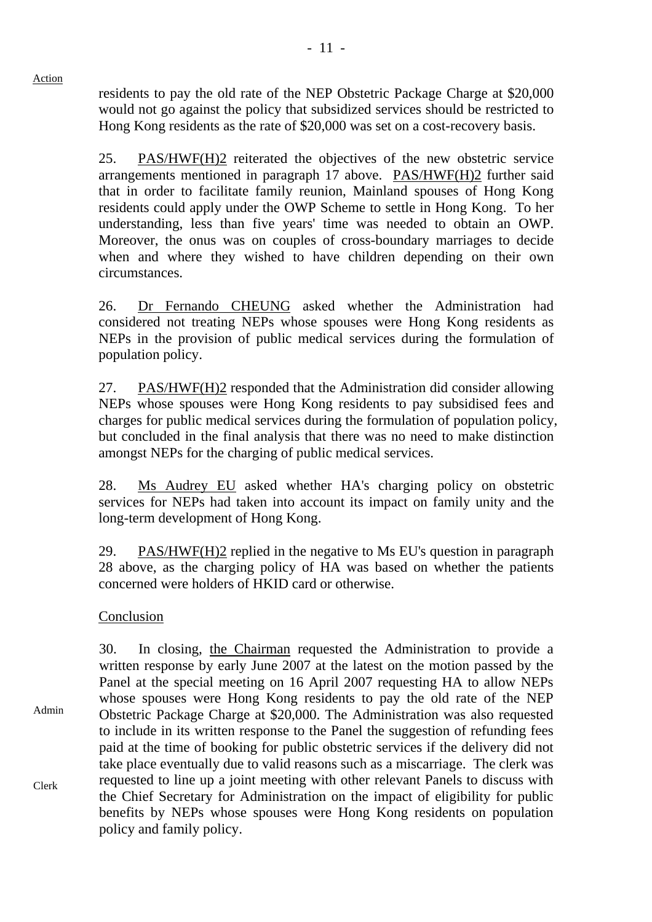residents to pay the old rate of the NEP Obstetric Package Charge at \$20,000 would not go against the policy that subsidized services should be restricted to Hong Kong residents as the rate of \$20,000 was set on a cost-recovery basis.

25. PAS/HWF(H)2 reiterated the objectives of the new obstetric service arrangements mentioned in paragraph 17 above. PAS/HWF(H)2 further said that in order to facilitate family reunion, Mainland spouses of Hong Kong residents could apply under the OWP Scheme to settle in Hong Kong. To her understanding, less than five years' time was needed to obtain an OWP. Moreover, the onus was on couples of cross-boundary marriages to decide when and where they wished to have children depending on their own circumstances.

26. Dr Fernando CHEUNG asked whether the Administration had considered not treating NEPs whose spouses were Hong Kong residents as NEPs in the provision of public medical services during the formulation of population policy.

27. PAS/HWF(H)2 responded that the Administration did consider allowing NEPs whose spouses were Hong Kong residents to pay subsidised fees and charges for public medical services during the formulation of population policy, but concluded in the final analysis that there was no need to make distinction amongst NEPs for the charging of public medical services.

28. Ms Audrey EU asked whether HA's charging policy on obstetric services for NEPs had taken into account its impact on family unity and the long-term development of Hong Kong.

29. PAS/HWF(H)2 replied in the negative to Ms EU's question in paragraph 28 above, as the charging policy of HA was based on whether the patients concerned were holders of HKID card or otherwise.

# Conclusion

Action

Admin Clerk 30. In closing, the Chairman requested the Administration to provide a written response by early June 2007 at the latest on the motion passed by the Panel at the special meeting on 16 April 2007 requesting HA to allow NEPs whose spouses were Hong Kong residents to pay the old rate of the NEP Obstetric Package Charge at \$20,000. The Administration was also requested to include in its written response to the Panel the suggestion of refunding fees paid at the time of booking for public obstetric services if the delivery did not take place eventually due to valid reasons such as a miscarriage. The clerk was requested to line up a joint meeting with other relevant Panels to discuss with the Chief Secretary for Administration on the impact of eligibility for public benefits by NEPs whose spouses were Hong Kong residents on population policy and family policy.